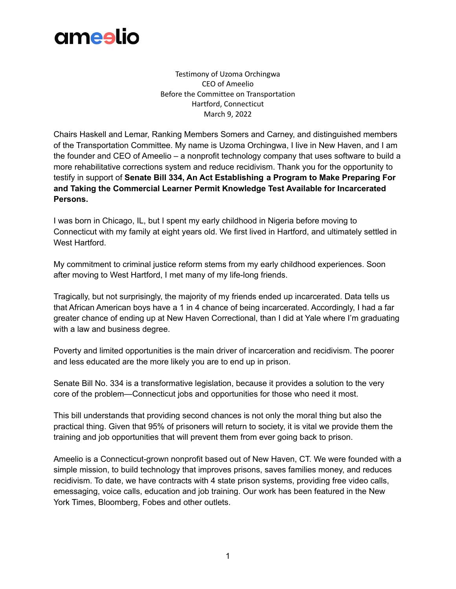

Testimony of Uzoma Orchingwa CEO of Ameelio Before the Committee on Transportation Hartford, Connecticut March 9, 2022

Chairs Haskell and Lemar, Ranking Members Somers and Carney, and distinguished members of the Transportation Committee. My name is Uzoma Orchingwa, I live in New Haven, and I am the founder and CEO of Ameelio – a nonprofit technology company that uses software to build a more rehabilitative corrections system and reduce recidivism. Thank you for the opportunity to testify in support of **Senate Bill 334, An Act Establishing a Program to Make Preparing For and Taking the Commercial Learner Permit Knowledge Test Available for Incarcerated Persons.**

I was born in Chicago, IL, but I spent my early childhood in Nigeria before moving to Connecticut with my family at eight years old. We first lived in Hartford, and ultimately settled in West Hartford.

My commitment to criminal justice reform stems from my early childhood experiences. Soon after moving to West Hartford, I met many of my life-long friends.

Tragically, but not surprisingly, the majority of my friends ended up incarcerated. Data tells us that African American boys have a 1 in 4 chance of being incarcerated. Accordingly, I had a far greater chance of ending up at New Haven Correctional, than I did at Yale where I'm graduating with a law and business degree.

Poverty and limited opportunities is the main driver of incarceration and recidivism. The poorer and less educated are the more likely you are to end up in prison.

Senate Bill No. 334 is a transformative legislation, because it provides a solution to the very core of the problem—Connecticut jobs and opportunities for those who need it most.

This bill understands that providing second chances is not only the moral thing but also the practical thing. Given that 95% of prisoners will return to society, it is vital we provide them the training and job opportunities that will prevent them from ever going back to prison.

Ameelio is a Connecticut-grown nonprofit based out of New Haven, CT. We were founded with a simple mission, to build technology that improves prisons, saves families money, and reduces recidivism. To date, we have contracts with 4 state prison systems, providing free video calls, emessaging, voice calls, education and job training. Our work has been featured in the New York Times, Bloomberg, Fobes and other outlets.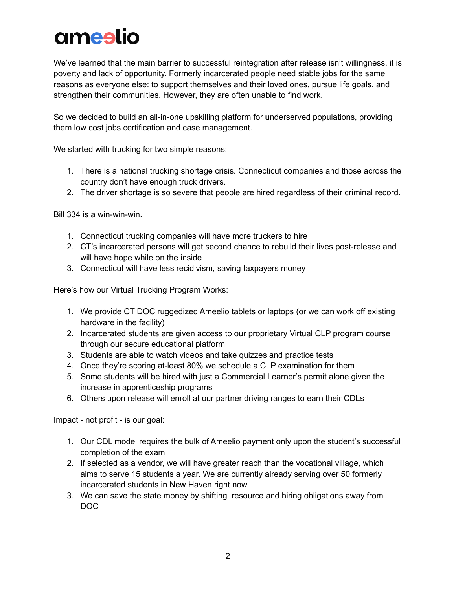## ameslio

We've learned that the main barrier to successful reintegration after release isn't willingness, it is poverty and lack of opportunity. Formerly incarcerated people need stable jobs for the same reasons as everyone else: to support themselves and their loved ones, pursue life goals, and strengthen their communities. However, they are often unable to find work.

So we decided to build an all-in-one upskilling platform for underserved populations, providing them low cost jobs certification and case management.

We started with trucking for two simple reasons:

- 1. There is a national trucking shortage crisis. Connecticut companies and those across the country don't have enough truck drivers.
- 2. The driver shortage is so severe that people are hired regardless of their criminal record.

Bill 334 is a win-win-win.

- 1. Connecticut trucking companies will have more truckers to hire
- 2. CT's incarcerated persons will get second chance to rebuild their lives post-release and will have hope while on the inside
- 3. Connecticut will have less recidivism, saving taxpayers money

Here's how our Virtual Trucking Program Works:

- 1. We provide CT DOC ruggedized Ameelio tablets or laptops (or we can work off existing hardware in the facility)
- 2. Incarcerated students are given access to our proprietary Virtual CLP program course through our secure educational platform
- 3. Students are able to watch videos and take quizzes and practice tests
- 4. Once they're scoring at-least 80% we schedule a CLP examination for them
- 5. Some students will be hired with just a Commercial Learner's permit alone given the increase in apprenticeship programs
- 6. Others upon release will enroll at our partner driving ranges to earn their CDLs

Impact - not profit - is our goal:

- 1. Our CDL model requires the bulk of Ameelio payment only upon the student's successful completion of the exam
- 2. If selected as a vendor, we will have greater reach than the vocational village, which aims to serve 15 students a year. We are currently already serving over 50 formerly incarcerated students in New Haven right now.
- 3. We can save the state money by shifting resource and hiring obligations away from DOC